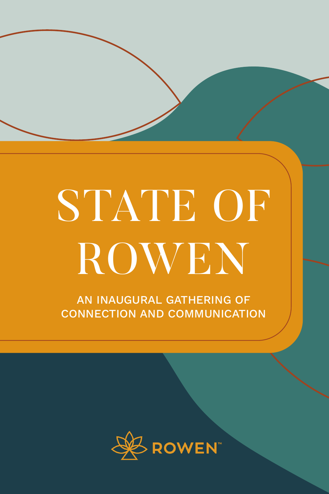# STATE OF ROWEN

AN INAUGURAL GATHERING OF CONNECTION AND COMMUNICATION

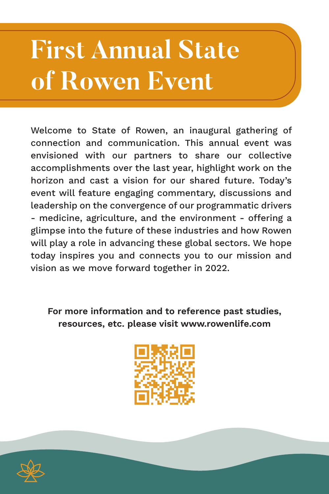# **First Annual State of Rowen Event**

Welcome to State of Rowen, an inaugural gathering of connection and communication. This annual event was envisioned with our partners to share our collective accomplishments over the last year, highlight work on the horizon and cast a vision for our shared future. Today's event will feature engaging commentary, discussions and leadership on the convergence of our programmatic drivers - medicine, agriculture, and the environment - offering a glimpse into the future of these industries and how Rowen will play a role in advancing these global sectors. We hope today inspires you and connects you to our mission and vision as we move forward together in 2022.

For more information and to reference past studies, resources, etc. please visit www.rowenlife.com



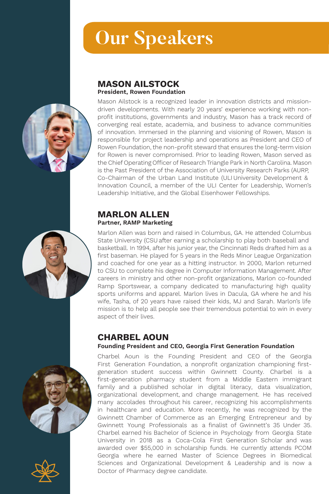### **Our Speakers**



Mason Ailstock is a recognized leader in innovation districts and missiondriven developments. With nearly 20 years' experience working with nonprofit institutions, governments and industry, Mason has a track record of converging real estate, academia, and business to advance communities of innovation. Immersed in the planning and visioning of Rowen, Mason is responsible for project leadership and operations as President and CEO of Rowen Foundation, the non-profit steward that ensures the long-term vision for Rowen is never compromised. Prior to leading Rowen, Mason served as the Chief Operating Officer of Research Triangle Park in North Carolina. Mason is the Past President of the Association of University Research Parks (AURP, Co-Chairman of the Urban Land Institute (ULI University Development & Innovation Council, a member of the ULI Center for Leadership, Women's Leadership Initiative, and the Global Eisenhower Fellowships.

#### MARLON ALLEN Partner, RAMP Marketing

Marlon Allen was born and raised in Columbus, GA. He attended Columbus State University (CSU after earning a scholarship to play both baseball and basketball. In 1994, after his junior year, the Cincinnati Reds drafted him as a first baseman. He played for 5 years in the Reds Minor League Organization and coached for one year as a hitting instructor. In 2000, Marlon returned to CSU to complete his degree in Computer Information Management. After careers in ministry and other non-profit organizations, Marlon co-founded Ramp Sportswear, a company dedicated to manufacturing high quality sports uniforms and apparel. Marlon lives in Dacula, GA where he and his wife, Tasha, of 20 years have raised their kids, MJ and Sarah. Marlon's life mission is to help all people see their tremendous potential to win in every aspect of their lives.

#### CHARBEL AOUN

#### Founding President and CEO, Georgia First Generation Foundation

Charbel Aoun is the Founding President and CEO of the Georgia First Generation Foundation, a nonprofit organization championing firstgeneration student success within Gwinnett County. Charbel is a first-generation pharmacy student from a Middle Eastern immigrant family and a published scholar in digital literacy, data visualization, organizational development, and change management. He has received many accolades throughout his career, recognizing his accomplishments in healthcare and education. More recently, he was recognized by the Gwinnett Chamber of Commerce as an Emerging Entrepreneur and by Gwinnett Young Professionals as a finalist of Gwinnett's 35 Under 35. Charbel earned his Bachelor of Science in Psychology from Georgia State University in 2018 as a Coca-Cola First Generation Scholar and was awarded over \$55,000 in scholarship funds. He currently attends PCOM Georgia where he earned Master of Science Degrees in Biomedical Sciences and Organizational Development & Leadership and is now a Doctor of Pharmacy degree candidate.







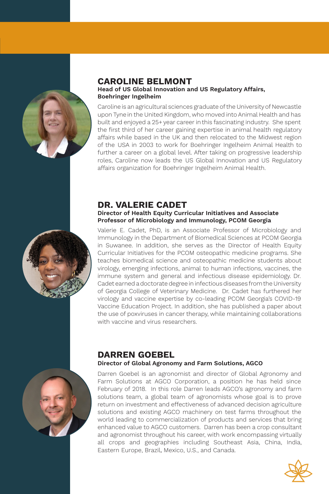

#### CAROLINE BELMONT Head of US Global Innovation and US Regulatory Affairs, Boehringer Ingelheim

Caroline is an agricultural sciences graduate ofthe University of Newcastle upon Tyne in the United Kingdom, who moved into Animal Health and has built and enjoyed a 25+year career in this fascinating industry. She spent the first third of her career gaining expertise in animal health regulatory affairs while based in the UK and then relocated to the Midwest region of the USA in 2003 to work for Boehringer Ingelheim Animal Health to further a career on a global level. After taking on progressive leadership roles, Caroline now leads the US Global Innovation and US Regulatory affairs organization for Boehringer Ingelheim Animal Health.

#### DR. VALERIE CADET

#### Director of Health Equity Curricular Initiatives and Associate Professor of Microbiology and Immunology, PCOM Georgia



Valerie E. Cadet, PhD, is an Associate Professor of Microbiology and Immunology in the Department of Biomedical Sciences at PCOM Georgia in Suwanee. In addition, she serves as the Director of Health Equity Curricular Initiatives for the PCOM osteopathic medicine programs. She teaches biomedical science and osteopathic medicine students about virology, emerging infections, animal to human infections, vaccines, the immune system and general and infectious disease epidemiology. Dr. Cadet earned a doctorate degree in infectious diseases from the University of Georgia College of Veterinary Medicine. Dr. Cadet has furthered her virology and vaccine expertise by co-leading PCOM Georgia's COVID-19 Vaccine Education Project. In addition, she has published a paper about the use of poxviruses in cancer therapy, while maintaining collaborations with vaccine and virus researchers.



#### DARREN GOEBEL Director of Global Agronomy and Farm Solutions, AGCO

Darren Goebel is an agronomist and director of Global Agronomy and Farm Solutions at AGCO Corporation, a position he has held since February of 2018. In this role Darren leads AGCO's agronomy and farm solutions team, a global team of agronomists whose goal is to prove return on investment and effectiveness of advanced decision agriculture solutions and existing AGCO machinery on test farms throughout the world leading to commercialization of products and services that bring enhanced value to AGCO customers. Darren has been a crop consultant and agronomist throughout his career, with work encompassing virtually all crops and geographies including Southeast Asia, China, India, Eastern Europe, Brazil, Mexico, U.S., and Canada.

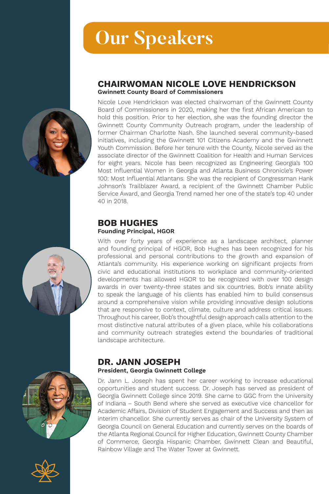## **Our Speakers**

#### CHAIRWOMAN NICOLE LOVE HENDRICKSON Gwinnett County Board of Commissioners

Nicole Love Hendrickson was elected chairwoman of the Gwinnett County Board of Commissioners in 2020, making her the first African American to hold this position. Prior to her election, she was the founding director the Gwinnett County Community Outreach program, under the leadership of former Chairman Charlotte Nash. She launched several community-based initiatives, including the Gwinnett 101 Citizens Academy and the Gwinnett Youth Commission. Before her tenure with the County, Nicole served as the associate director of the Gwinnett Coalition for Health and Human Services for eight years. Nicole has been recognized as Engineering Georgia's 100 Most Influential Women in Georgia and Atlanta Business Chronicle's Power 100: Most Influential Atlantans. She was the recipient of Congressman Hank Johnson's Trailblazer Award, a recipient of the Gwinnett Chamber Public Service Award, and Georgia Trend named her one of the state's top 40 under 40 in 2018.

#### BOB HUGHES Founding Principal, HGOR

With over forty years of experience as a landscape architect, planner and founding principal of HGOR, Bob Hughes has been recognized for his professional and personal contributions to the growth and expansion of Atlanta's community. His experience working on significant projects from civic and educational institutions to workplace and community-oriented developments has allowed HGOR to be recognized with over 100 design awards in over twenty-three states and six countries. Bob's innate ability to speak the language of his clients has enabled him to build consensus around a comprehensive vision while providing innovative design solutions that are responsive to context, climate, culture and address critical issues. Throughout his career, Bob's thoughtful design approach calls attention to the most distinctive natural attributes of a given place, while his collaborations and community outreach strategies extend the boundaries of traditional landscape architecture.

#### DR. JANN JOSEPH

#### President, Georgia Gwinnett College

Dr. Jann L. Joseph has spent her career working to increase educational opportunities and student success. Dr. Joseph has served as president of Georgia Gwinnett College since 2019. She came to GGC from the University of Indiana – South Bend where she served as executive vice chancellor for Academic Affairs, Division of Student Engagement and Success and then as interim chancellor. She currently serves as chair of the University System of Georgia Council on General Education and currently serves on the boards of the Atlanta Regional Council for Higher Education, Gwinnett County Chamber of Commerce, Georgia Hispanic Chamber, Gwinnett Clean and Beautiful, Rainbow Village and The Water Tower at Gwinnett.







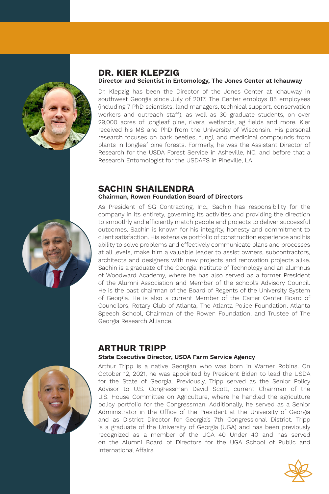

#### DR. KIER KLEPZIG Director and Scientist in Entomology, The Jones Center at Ichauway

Dr. Klepzig has been the Director of the Jones Center at Ichauway in southwest Georgia since July of 2017. The Center employs 85 employees (including 7 PhD scientists, land managers, technical support, conservation workers and outreach staff), as well as 30 graduate students, on over 29,000 acres of longleaf pine, rivers, wetlands, ag fields and more. Kier received his MS and PhD from the University of Wisconsin. His personal research focuses on bark beetles, fungi, and medicinal compounds from plants in longleaf pine forests. Formerly, he was the Assistant Director of Research for the USDA Forest Service in Asheville, NC, and before that a Research Entomologist for the USDAFS in Pineville, LA.

#### SACHIN SHAILENDRA Chairman, Rowen Foundation Board of Directors

As President of SG Contracting, Inc., Sachin has responsibility for the company in its entirety, governing its activities and providing the direction to smoothly and efficiently match people and projects to deliver successful outcomes. Sachin is known for his integrity, honesty and commitment to client satisfaction. His extensive portfolio of construction experience and his ability to solve problems and effectively communicate plans and processes at all levels, make him a valuable leader to assist owners, subcontractors, architects and designers with new projects and renovation projects alike. Sachin is a graduate of the Georgia Institute of Technology and an alumnus of Woodward Academy, where he has also served as a former President of the Alumni Association and Member of the school's Advisory Council. He is the past chairman of the Board of Regents of the University System of Georgia. He is also a current Member of the Carter Center Board of Councilors, Rotary Club of Atlanta, The Atlanta Police Foundation, Atlanta Speech School, Chairman of the Rowen Foundation, and Trustee of The Georgia Research Alliance.



#### ARTHUR TRIPP State Executive Director, USDA Farm Service Agency

Arthur Tripp is a native Georgian who was born in Warner Robins. On October 12, 2021, he was appointed by President Biden to lead the USDA for the State of Georgia. Previously, Tripp served as the Senior Policy Advisor to U.S. Congressman David Scott, current Chairman of the U.S. House Committee on Agriculture, where he handled the agriculture policy portfolio for the Congressman. Additionally, he served as a Senior Administrator in the Office of the President at the University of Georgia and as District Director for Georgia's 7th Congressional District. Tripp is a graduate of the University of Georgia (UGA) and has been previously recognized as a member of the UGA 40 Under 40 and has served on the Alumni Board of Directors for the UGA School of Public and International Affairs.